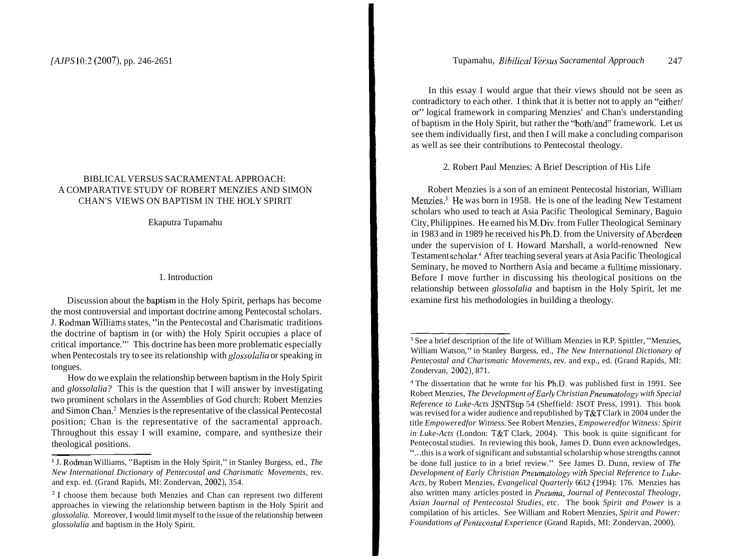# BIBLICAL VERSUS SACRAMENTAL APPROACH: A COMPARATIVE STUDY OF ROBERT MENZIES AND SIMON CHAN'S VIEWS ON BAPTISM IN THE HOLY SPIRIT

Ekaputra Tupamahu

## 1. Introduction

Discussion about the baptism in the Holy Spirit, perhaps has become the most controversial and important doctrine among Pentecostal scholars. J. Rodman Williams states, "in the Pentecostal and Charismatic traditions the doctrine of baptism in (or with) the Holy Spirit occupies a place of critical importance."' This doctrine has been more problematic especially when Pentecostals try to see its relationship with *gIossoIaIia* or speaking in tongues.

How do we explain the relationship between baptism in the Holy Spirit and *glossolalia?* This is the question that I will answer by investigating two prominent scholars in the Assemblies of God church: Robert Menzies and Simon Cham2 Menzies is the representative of the classical Pentecostal position; Chan is the representative of the sacramental approach. Throughout this essay I will examine, compare, and synthesize their theological positions.

In this essay I would argue that their views should not be seen as contradictory to each other. I think that it is better not to apply an "either/ or" logical framework in comparing Menzies' and Chan's understanding of baptism in the Holy Spirit, but rather the "both/and" framework. Let us see them individually first, and then I will make a concluding comparison as well as see their contributions to Pentecostal theology.

2. Robert Paul Menzies: A Brief Description of His Life

Robert Menzies is a son of an eminent Pentecostal historian, William Menzies.<sup>3</sup> He was born in 1958. He is one of the leading New Testament scholars who used to teach at Asia Pacific Theological Seminary, Baguio City, Philippines. He earned his M.Div. from Fuller Theological Seminary in 1983 and in 1989 he received his Ph.D. from the University of Aberdeen under the supervision of I. Howard Marshall, a world-renowned New Testament scholar.<sup>4</sup> After teaching several years at Asia Pacific Theological Seminary, he moved to Northern Asia and became a fulltime missionary. Before I move further in discussing his theological positions on the relationship between *glossolalia* and baptism in the Holy Spirit, let me examine first his methodologies in building a theology.

<sup>&#</sup>x27; J. Rodman Williams, "Baptism in the Holy Spirit," in Stanley Burgess, ed., *The New International Dictionary of Pentecostal and Charismatic Movements,* rev. and exp. ed. (Grand Rapids, MI: Zondervan, 2002), 354.

<sup>&</sup>lt;sup>2</sup> I choose them because both Menzies and Chan can represent two different approaches in viewing the relationship between baptism in the Holy Spirit and *glossolalia.* Moreover, I would limit myself to the issue of the relationship between *glossolalia* and baptism in the Holy Spirit.

<sup>&</sup>lt;sup>3</sup> See a brief description of the life of William Menzies in R.P. Spittler, "Menzies, William Watson," in Stanley Burgess, ed., *The New International Dictionary of Pentecostal and Charismatic Movements,* rev. and exp., ed. (Grand Rapids, MI: Zondervan, 2002), 871.

<sup>&</sup>lt;sup>4</sup> The dissertation that he wrote for his Ph.D. was published first in 1991. See Robert Menzies, *The Development ofEarly Christian Pneumatology with Special Reference to Luke-Acts* JSNTSup 54 (Sheffield: JSOT Press, 1991). This book was revised for a wider audience and republished by T&T Clark in 2004 under the title *Empoweredfor Witness.* See Robert Menzies, *Empoweredfor Witness: Spirit in Luke-Acts* (London: T&T Clark, 2004). This book is quite significant for Pentecostal studies. In reviewing this book, James D. Dunn even acknowledges, ". . .this is a work of significant and substantial scholarship whose strengths cannot be done full justice to in a brief review." See James D. Dunn, review of *The*  Development of Early Christian Pneumatology with Special Reference to Luke-Acts, by Robert Menzies, *Evangelical Quarterly* 6612 (1994): 176. Menzies has also written many articles posted in *Pneuma, Journal of Pentecostal Theology, Asian Journal of Pentecostal Studies,* etc. The book *Spirit and Power* is a compilation of his articles. See William and Robert Menzies, *Spirit and Power: Foundations ofPentecostal Experience* (Grand Rapids, MI: Zondervan, 2000).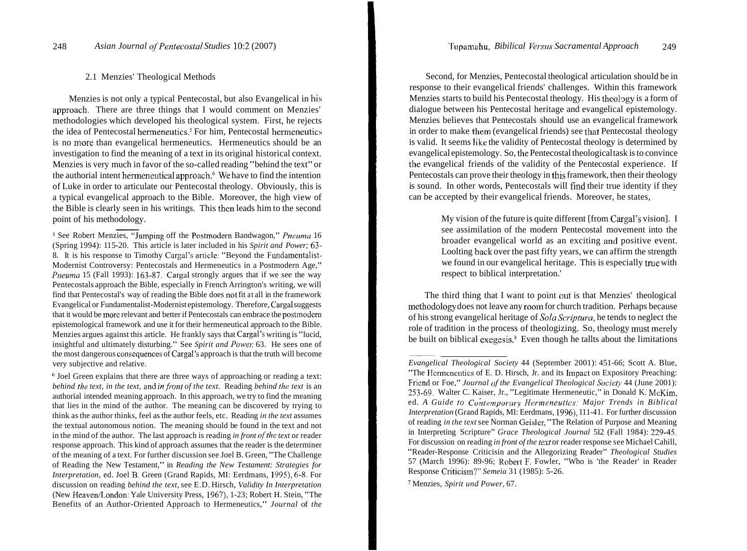#### 2.1 Menzies' Theological Methods

Menzies is not only a typical Pentecostal, but also Evangelical in his approach. There are three things that I would comment on Menzies' methodologies which developed his theological system. First, he rejects the idea of Pentecostal hermeneutics.<sup>5</sup> For him, Pentecostal hermeneutics is no more than evangelical hermeneutics. Hermeneutics should be an investigation to find the meaning of a text in its original historical context. Menzies is very much in favor of the so-called reading "behind the text" or the authorial intent hermeneutical approach. $6\,$  We have to find the intention of Luke in order to articulate our Pentecostal theology. Obviously, this is a typical evangelical approach to the Bible. Moreover, the high view of the Bible is clearly seen in his writings. This then leads him to the second point of his methodology.

<sup>5</sup> See Robert Menzies, "Jumping off the Postmodern Bandwagon," *Pneuma* 16 (Spring 1994): 11 5-20. This article is later included in his *Spirit and Power;* 63- 8. It is his response to Timothy Cargal's articlc: "Beyond the Fundamentalist-Modernist Controversy: Pentecostals and Hermeneutics in a Postmodern Age," *Pneuma* 15 (Fall 1993): 163-87. Cargal strongly argues that if we see the way Pentecostals approach the Bible, especially in French Arrington's writing, we will find that Pentecostal's way of reading the Bible does not fit at all in the framework Evangelical or Fundamentalist-Modernist epistemology. Therefore, Cargal suggests that it would be more relevant and better if Pentecostals can embrace the postmodern epistemological framework and use it for their hermeneutical approach to the Bible. Menzies argues against this article. He frankly says that Cargal's writing is "lucid, insightful and ultimately disturbing." See *Spirit and Powev,* 63. He sees one of the most dangerous consequences of Cargal's approach is that the truth will become very subjective and relative.

<sup>6</sup> Joel Green explains that there are three ways of approaching or reading a text: *behind t/7e text, in the text,* and *infront of the text.* Reading *behind /he text* is an authorial intended meaning approach. In this approach, we try to find the meaning that lies in the mind of the author. The meaning can be discovered by trying to think as the author thinks, feel as the author feels, etc. Reading *in the text* assumes the textual autonomous notion. The meaning should be found in the text and not in the mind of the author. The last approach is reading *in front of the text* or reader response approach. This kind of approach assumes that the reader is the determiner of the meaning of a text. For further discussion see Joel B. Green, "The Challenge of Reading the New Testament," in *Reading the New Testament: Strategies for Interpretation, ed. Joel B. Green (Grand Rapids, MI: Eerdmans, 1995), 6-8. For* discussion on reading *behind the text,* see E.D. Hirsch, *Validity In Interpretation*  (New Heaven/London: Yale University Press, 1967), 1-23; Robert H. Stein, "The Benefits of an Author-Oriented Approach to Hermeneutics," *Journal* of *the* 

Second, for Menzies, Pentecostal theological articulation should be in response to their evangelical friends' challenges. Within this framework Menzies starts to build his Pentecostal theology. His theology is a form of dialogue between his Pentecostal heritage and evangelical epistemology. Menzies believes that Pentecostals should use an evangelical framework in order to make them (evangelical friends) see that Pentecostal theology is valid. It seems like the validity of Pentecostal theology is determined by evangelical epistemology. So, the Pentecostal theological task is to convince the evangelical friends of the validity of the Pentecostal experience. If Pentecostals can prove their theology in this framework, then their theology is sound. In other words, Pentecostals will find their true identity if they can be accepted by their evangelical friends. Moreover, he states,

> My vision of the future is quite different [from Cargal's vision]. I see assimilation of the modern Pentecostal movement into the broader evangelical world as an exciting and positive event. Loolting back over the past fifty years, we can affirm the strength we found in our evangelical heritage. This is especially true with respect to biblical interpretation.'

The third thing that I want to point out is that Menzies' theological methodology does not leave any room for church tradition. Perhaps because of his strong evangelical heritage of *Sola Scriptura,* he tends to neglect the role of tradition in the process of theologizing. So, theology must merely be built on biblical exegesis.<sup>8</sup> Even though he tallts about the limitations The<br>methodo<br>of his str<br>role of tr<br>be built d<br>Evangelia<br>"The Her

' Menzies, *Spirit und Power,* 67.

I

*Evangelical Theological Society* 44 (September 2001): 451-66; Scott A. Blue, "The Hermeneutics of E. D. Hirsch, Jr. and its Impact on Expository Preaching: Friend or Foe," *Journal of the Evangelical Theological Society* 44 (June 2001): 253-69. Walter C. Kaiser, Jr., "Legitimate Hermeneutic," in Donald K. McKim, ed. A Guide to Contemporary Hermeneutics: Major Trends in Biblical ed. *A Guide to Contemporary Hermeneutics: Major Trends in Biblical Interpretation* (Grand Rapids, MI: Eerdmans, 1996), 111-41. For further discussion <sup>1</sup>of reading *in the text* see Norman Geisler, "The Relation of Purpose and Meaning in Interpreting Scripture" *Grace Theological Journal* 512 (Fall 1984): 229-45. For discussion on reading *in front of the text* or reader response see Michael Cahill, "Reader-Response Criticisin and the Allegorizing Reader" *Theological Studies*  57 (March 1996): 89-96; Robert **I;.** Fowler, "Who is 'the Reader' in Reader Response Criticism?" *Semeia* 31 (1985): 5-26.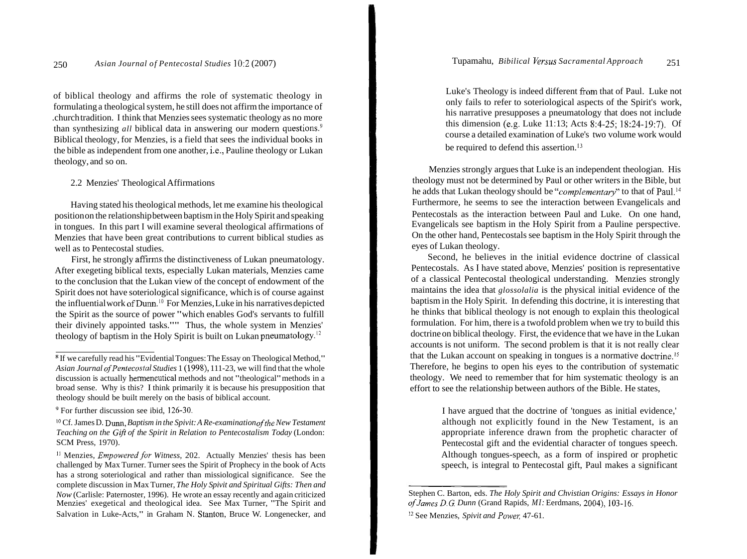of biblical theology and affirms the role of systematic theology in formulating a theological system, he still does not affirm the importance of .church tradition. I think that Menzies sees systematic theology as no more than synthesizing *all* biblical data in answering our modern questions.<sup>9</sup> Biblical theology, for Menzies, is a field that sees the individual books in the bible as independent from one another, i.e., Pauline theology or Lukan theology, and so on.

# 2.2 Menzies' Theological Affirmations

Having stated his theological methods, let me examine his theological position on the relationship between baptism in the Holy Spirit and speaking in tongues. In this part I will examine several theological affirmations of Menzies that have been great contributions to current biblical studies as well as to Pentecostal studies.

First, he strongly affirms the distinctiveness of Lukan pneumatology. After exegeting biblical texts, especially Lukan materials, Menzies came to the conclusion that the Lukan view of the concept of endowment of the Spirit does not have soteriological significance, which is of course against the influential work of Dunn.<sup>10</sup> For Menzies, Luke in his narratives depicted the Spirit as the source of power "which enables God's servants to fulfill their divinely appointed tasks."" Thus, the whole system in Menzies' theology of baptism in the Holy Spirit is built on Lukan pneumatology.<sup>12</sup>

Luke's Theology is indeed different from that of Paul. Luke not only fails to refer to soteriological aspects of the Spirit's work, his narrative presupposes a pneumatology that does not include this dimension (e.g. Luke 11 : 13; Acts 8:4-25; 18:24-19:7). Of course a detailed examination of Luke's two volume work would be required to defend this assertion.<sup>13</sup>

Menzies strongly argues that Luke is an independent theologian. His theology must not be determined by Paul or other writers in the Bible, but he adds that Lukan theology should be "*complementary*" to that of Paul.<sup>14</sup> Furthermore, he seems to see the interaction between Evangelicals and Pentecostals as the interaction between Paul and Luke. On one hand, Evangelicals see baptism in the Holy Spirit from a Pauline perspective. On the other hand, Pentecostals see baptism in the Holy Spirit through the eyes of Lukan theology.

Second, he believes in the initial evidence doctrine of classical Pentecostals. As I have stated above, Menzies' position is representative of a classical Pentecostal theological understanding. Menzies strongly maintains the idea that *glossolalia* is the physical initial evidence of the baptism in the Holy Spirit. In defending this doctrine, it is interesting that he thinks that biblical theology is not enough to explain this theological formulation. For him, there is a twofold problem when we try to build this doctrine on biblical theology. First, the evidence that we have in the Lukan accounts is not uniform. The second problem is that it is not really clear that the Lukan account on speaking in tongues is a normative doctrine.<sup>15</sup> Therefore, he begins to open his eyes to the contribution of systematic theology. We need to remember that for him systematic theology is an effort to see the relationship between authors of the Bible. He states,

> I have argued that the doctrine of 'tongues as initial evidence,' although not explicitly found in the New Testament, is an appropriate inference drawn from the prophetic character of Pentecostal gift and the evidential character of tongues speech. Although tongues-speech, as a form of inspired or prophetic speech, is integral to Pentecostal gift, Paul makes a significant

If we carefully read his "Evidential Tongues: The Essay on Theological Method," *Asian Journal ofPentecostal Studies* 1 (1998), 11 1-23, we will find that the whole discussion is actually hermeneutical methods and not "theological" methods in a broad sense. Why is this? I think primarily it is because his presupposition that theology should be built merely on the basis of biblical account.

<sup>&</sup>lt;sup>9</sup> For further discussion see ibid, 126-30.

<sup>&</sup>lt;sup>10</sup> Cf. James D. Dunn, *Baptism in the Spivit: A Re-examination of the New Testament Teaching on the Gift of the Spirit in Relation to Pentecostalism Today* (London: SCM Press, 1970).

l1 Menzies, *Empoweredfor Witness,* 202. Actually Menzies' thesis has been challenged by Max Turner. Turner sees the Spirit of Prophecy in the book of Acts has a strong soteriological and rather than missiological significance. See the complete discussion in Max Turner, *The Holy Spivit and Spiritual Gifts: Then and Now* (Carlisle: Paternoster, 1996). He wrote an essay recently and again criticized Menzies' exegetical and theological idea. See Max Turner, "The Spirit and Salvation in Luke-Acts," in Graham N. Stanton, Bruce W. Longenecker, and

Stephen C. Barton, eds. *The Holy Spirit and Chvistian Origins: Essays in Honor ofJames D.G. Dunn* (Grand Rapids, *MI:* Eerdmans, 2004), 103-16.

**l2** See Menzies, *Spivit and Powel;* 47-61.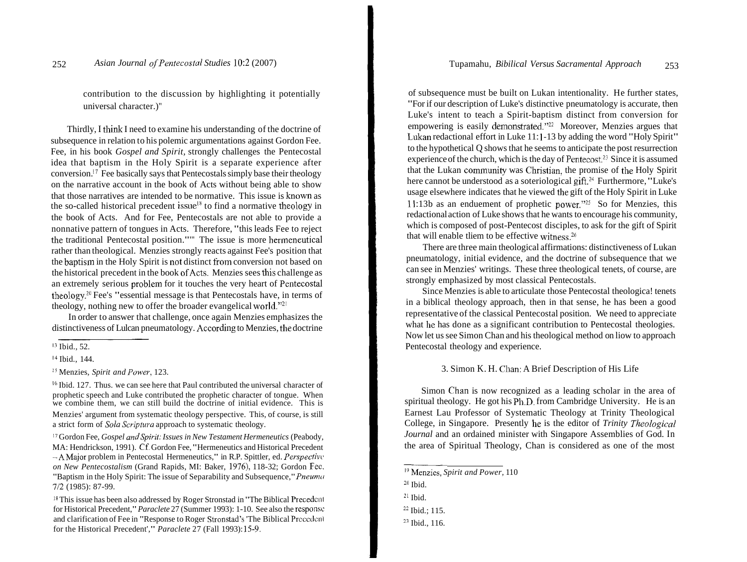contribution to the discussion by highlighting it potentially universal character.)"

Thirdly, I think I need to examine his understanding of the doctrine of subsequence in relation to his polemic argumentations against Gordon Fee. Fee, in his book *Gospel and Spirit,* strongly challenges the Pentecostal idea that baptism in the Holy Spirit is a separate experience after conversion.<sup>17</sup> Fee basically says that Pentecostals simply base their theology on the narrative account in the book of Acts without being able to show that those narratives are intended to be normative. This issue is known as the so-called historical precedent issue<sup>18</sup> to find a normative theology in the book of Acts. And for Fee, Pentecostals are not able to provide a nonnative pattern of tongues in Acts. Therefore, "this leads Fee to reject the traditional Pentecostal position."" The issue is more hermeneutical rather than theological. Menzies strongly reacts against Fee's position that the baptism in the Holy Spirit is not distinct from conversion not based on the historical precedent in the book of Acts. Menzies sees this challenge as an extremely serious problem for it touches the very heart of Pentecostal theology.20 Fee's "essential message is that Pentecostals have, in terms of theology, nothing new to offer the broader evangelical world."2'

In order to answer that challenge, once again Menzies emphasizes the distinctiveness of Lulcan pneumatology. According to Menzies, the doctrine

<sup>15</sup> Menzies, *Spirit and Power*, 123.

<sup>16</sup> Ibid. 127. Thus. we can see here that Paul contributed the universal character of prophetic speech and Luke contributed the prophetic character of tongue. When we combine them, we can still build the doctrine of initial evidence. This is Menzies' argument from systematic theology perspective. This, of course, is still a strict form of *Sola Scriptura* approach to systematic theology.

<sup>17</sup> Gordon Fee, *Gospel and Spirit: Issues in New Testament Hermeneutics* (Peabody, MA: Hendrickson, 1991). Cf. Gordon Fee, "Hermeneutics and Historical Precedent --AMajor problem in Pentecostal Hermeneutics," in R.P. Spittler, ed. *Perspective, on New Pentecostalism* (Grand Rapids, MI: Baker, 1976), 118-32; Gordon Fec, "Baptism in the Holy Spirit: The issue of Separability and Subsequence," *Pneuma* 712 (1985): 87-99.

of subsequence must be built on Lukan intentionality. He further states, "For if our description of Luke's distinctive pneumatology is accurate, then Luke's intent to teach a Spirit-baptism distinct from conversion for empowering is easily demonstrated."<sup>22</sup> Moreover, Menzies argues that Lukan redactional effort in Luke 11:1-13 by adding the word "Holy Spirit" to the hypothetical Q shows that he seems to anticipate the post resurrection experience of the church, which is the day of Pentecost.<sup>23</sup> Since it is assumed that the Lukan community was Christian, the promise of the Holy Spirit here cannot be understood as a soteriological gift.<sup>24</sup> Furthermore, "Luke's usage elsewhere indicates that he viewed the gift of the Holy Spirit in Luke 11:13b as an enduement of prophetic power."<sup>25</sup> So for Menzies, this redactional action of Luke shows that he wants to encourage his community, which is composed of post-Pentecost disciples, to ask for the gift of Spirit that will enable tliem to be effective witness. $26$ 

There are three main theological affirmations: distinctiveness of Lukan pneumatology, initial evidence, and the doctrine of subsequence that we can see in Menzies' writings. These three theological tenets, of course, are strongly emphasized by most classical Pentecostals.

Since Menzies is able to articulate those Pentecostal theologica! tenets in a biblical theology approach, then in that sense, he has been a good representative of the classical Pentecostal position. We need to appreciate what he has done as a significant contribution to Pentecostal theologies. Now let us see Simon Chan and his theological method on liow to approach Pentecostal theology and experience.

#### 3. Simon K. H. Chan: A Brief Description of His Life

Simon Chan is now recognized as a leading scholar in the area of spiritual theology. He got his Ph.D. from Cambridge University. He is an Earnest Lau Professor of Systematic Theology at Trinity Theological College, in Singapore. Presently he is the editor of *Trinity Theological Journal* and an ordained minister with Singapore Assemblies of God. In the area of Spiritual Theology, Chan is considered as one of the most

**l3** Ibid., 52.

l4 Ibid., 144.

<sup>&</sup>lt;sup>18</sup> This issue has been also addressed by Roger Stronstad in "The Biblical Precedent" for Historical Precedent," *Paraclete* 27 (Summer 1993): 1-10. See also the responsc and clarification of Fee in "Response to Roger Stronstad's 'The Biblical Precedent for the Historical Precedent'," *Paraclete* 27 (Fall 1993): 15-9.

<sup>&</sup>lt;sup>19</sup> Menzies, *Spirit and Power*, 110

**<sup>20</sup>**Ibid.

**<sup>21</sup>**Ibid.

 $22$  Ibid.; 115.

**<sup>23</sup>** Ibid., 116.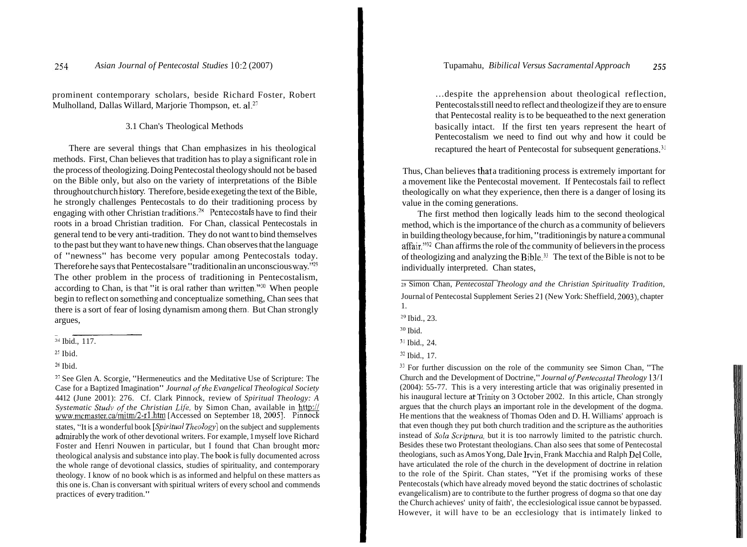prominent contemporary scholars, beside Richard Foster, Robert Mulholland, Dallas Willard, Marjorie Thompson, et. al.27

## 3.1 Chan's Theological Methods

There are several things that Chan emphasizes in his theological methods. First, Chan believes that tradition has to play a significant role in the process of theologizing. Doing Pentecostal theology should not be based on the Bible only, but also on the variety of interpretations of the Bible throughout church history. Therefore, beside exegeting the text of the Bible, he strongly challenges Pentecostals to do their traditioning process by engaging with other Christian traditions.<sup>28</sup> Pentecostals have to find their roots in a broad Christian tradition. For Chan, classical Pentecostals in general tend to be very anti-tradition. They do not want to bind themselves to the past but they want to have new things. Chan observes that the language of "newness" has become very popular among Pentecostals today. Therefore he says that Pentecostals are "traditional in an unconscious way."<sup>29</sup> The other problem in the process of traditioning in Pentecostalism, according to Chan, is that "it is oral rather than written."<sup>30</sup> When people begin to reflect on something and conceptualize something, Chan sees that there is a sort of fear of losing dynamism among them. But Chan strongly argues,

<sup>26</sup> Ibid.

 $27$  See Glen A. Scorgie, "Hermeneutics and the Meditative Use of Scripture: The Case for a Baptized Imagination" *Journal of the Evangelical Theological Society* 4412 (June 2001): 276. Cf. Clark Pinnock, review of *Spiritual Theology: A Systematic Study of the Christian Life, by Simon Chan, available in http://* www.mcmaster.ca/mitm/2-rl.htm [Accessed on September 18, 2005]. Pinnock states, "It is a wonderful book *[Spiritual Theology]* on the subject and supplements admirably the work of other devotional writers. For example, 1 myself love Richard Foster and Henri Nouwen in particular, but I found that Chan brought morc theological analysis and substance into play. The book is fully documented across the whole range of devotional classics, studies of spirituality, and contemporary theology. I know of no book which is as informed and helpful on these matters as this one is. Chan is conversant with spiritual writers of every school and commends practices of every tradition."

... despite the apprehension about theological reflection, Pentecostals still need to reflect and theologize if they are to ensure that Pentecostal reality is to be bequeathed to the next generation basically intact. If the first ten years represent the heart of Pentecostalism we need to find out why and how it could be recaptured the heart of Pentecostal for subsequent generations.<sup>31</sup>

Thus, Chan believes that a traditioning process is extremely important for a movement like the Pentecostal movement. If Pentecostals fail to reflect theologically on what they experience, then there is a danger of losing its value in the coming generations.

The first method then logically leads him to the second theological method, which is the importance of the church as a community of believers in building theology because, for him, "traditioning is by nature a communal affair."<sup>32</sup> Chan affirms the role of the community of believers in the process of theologizing and analyzing the Bible.33 The text of the Bible is not to be individually interpreted. Chan states,

*<sup>28</sup>*Simon Chan, *Pentecostal Theology and the Christian Spirituality Tradition,*  Journal of Pentecostal Supplement Series 2 1 (New York: Sheffield, 2003), chapter 1.

<sup>29</sup> Ibid., 23.

 $30$  Ibid.

 $<sup>31</sup>$  Ibid., 24.</sup>

<sup>33</sup> For further discussion on the role of the community see Simon Chan, "The Church and the Development of Doctrine," *Journal ofPentecostal Theology* 1311 (2004): 55-77. This is a very interesting article that was originaliy presented in his inaugural lecture at Trinity on 3 October 2002. In this article, Chan strongly argues that the church plays an important role in the development of the dogma. He mentions that the weakness of Thomas Oden and D. H. Williams' approach is that even though they put both church tradition and the scripture as the authorities instead of *Sola Scriptura,* but it is too narrowly limited to the patristic church. Besides these two Protestant theologians. Chan also sees that some of Pentecostal theologians, such as Amos Yong, Dale Irvin, Frank Macchia and Ralph Del Colle, have articulated the role of the church in the development of doctrine in relation to the role of the Spirit. Chan states, "Yet if the promising works of these Pentecostals (which have already moved beyond the static doctrines of scholastic evangelicalism) are to contribute to the further progress of dogma so that one day the Church achieves' unity of faith', the ecclesiological issue cannot be bypassed. However, it will have to be an ecclesiology that is intimately linked to

 $24$  Ibid., 117.

**ZS** Ibid.

 $32$  Ibid., 17.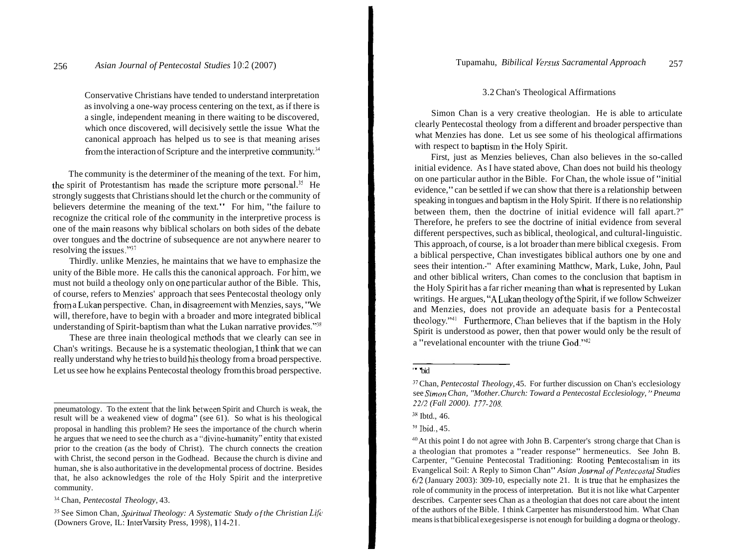Conservative Christians have tended to understand interpretation as involving a one-way process centering on the text, as if there is a single, independent meaning in there waiting to be discovered, which once discovered, will decisively settle the issue What the canonical approach has helped us to see is that meaning arises from the interaction of Scripture and the interpretive community. $^{34}$ 

The community is the determiner of the meaning of the text. For him, the spirit of Protestantism has made the scripture more personal.<sup>35</sup> He strongly suggests that Christians should let the church or the community of believers determine the meaning of the text." For him, "the failure to recognize the critical role of the community in the interpretive process is one of the inain reasons why biblical scholars on both sides of the debate over tongues and the doctrine of subsequence are not anywhere nearer to resolving the issues."37

Thirdly. unlike Menzies, he maintains that we have to emphasize the unity of the Bible more. He calls this the canonical approach. For him, we must not build a theology only on one particular author of the Bible. This, of course, refers to Menzies' approach that sees Pentecostal theology only from a Lukan perspective. Chan, in disagreement with Menzies, says, "We will, therefore, have to begin with a broader and more integrated biblical understanding of Spirit-baptism than what the Lukan narrative provides."<sup>38</sup>

These are three inain theological methods that we clearly can see in Chan's writings. Because he is a systematic theologian, 1 think that we can really understand why he tries to build his theology from a broad perspective. Let us see how he explains Pentecostal theology from this broad perspective.

# 3.2 Chan's Theological Affirmations

Simon Chan is a very creative theologian. He is able to articulate clearly Pentecostal theology from a different and broader perspective than what Menzies has done. Let us see some of his theological affirmations with respect to baptism in the Holy Spirit.

First, just as Menzies believes, Chan also believes in the so-called initial evidence. As I have stated above, Chan does not build his theology on one particular author in the Bible. For Chan, the whole issue of "initial evidence," can be settled if we can show that there is a relationship between speaking in tongues and baptism in the Holy Spirit. If there is no relationship between them, then the doctrine of initial evidence will fall apart.?" Therefore, he prefers to see the doctrine of initial evidence from several different perspectives, such as biblical, theological, and cultural-linguistic. This approach, of course, is a lot broader than mere biblical cxegesis. From a biblical perspective, Chan investigates biblical authors one by one and sees their intention.-"' After examining Matthcw, Mark, Luke, John, Paul and other biblical writers, Chan comes to the conclusion that baptism in the Holy Spirit has a far richer meaning than what is represented by Lukan writings. He argues, "A Lukan theology of the Spirit, if we follow Schweizer and Menzies, does not provide an adequate basis for a Pentecostal theology." $4^1$  Furthermore, Chan believes that if the baptism in the Holy Spirit is understood as power, then that power would only be the result of a "revelational encounter with the triune God."42

pneumatology. To the extent that the link betwcen Spirit and Church is weak, the result will be a weakened view of dogma" (see  $61$ ). So what is his theological proposal in handling this problem? He sees the importance of the church wherin he argues that we need to see the church as a "divine-humanity" entity that existed prior to the creation (as the body of Christ). The church connects the creation with Christ, the second person in the Godhead. Because the church is divine and human, she is also authoritative in the developmental process of doctrine. Besides that, he also acknowledges the role of the Holy Spirit and the interpretive community.

**l4** Chan, *Pentecostal Theology,* 43.

<sup>&</sup>lt;sup>35</sup> See Simon Chan, *Spiritual Theology: A Systematic Study of the Christian Life* (Downers Grove, IL: Intervarsity Press, 1998), 114-21.

<sup>&#</sup>x27;"bid

<sup>37</sup> Chan, *Pentecostal Theology,* 45. For further discussion on Chan's ecclesiology see *Szmon Chan, "Mother. Church: Toward a Pentecostal Ecclesiology,* " *Pneuma 22/2 (Fall 2000). 177-208.* 

 $38$  Ibtd., 46.

 $^{39}$  Ibid., 45.

<sup>40</sup>At this point I do not agree with John B. Carpenter's strong charge that Chan is a theologian that promotes a "reader response" hermeneutics. See John B. Carpenter, "Genuine Pentecostal Traditioning: Rooting Pentecostalism in its Evangelical Soil: A Reply to Simon Chan" *Asian Journal of Pentecostal Studies*  $6/2$  (January 2003): 309-10, especially note 21. It is true that he emphasizes the role of community in the process of interpretation. But it is not like what Carpenter describes. Carpenter sees Chan as a theologian that does not care about the intent of the authors of the Bible. I think Carpenter has misunderstood him. What Chan means is that biblical exegesisperse is not enough for building a dogma or theology.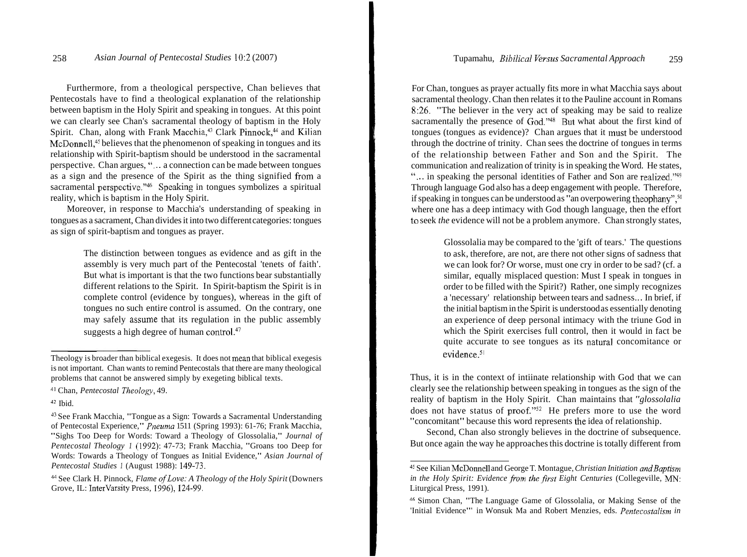Furthermore, from a theological perspective, Chan believes that Pentecostals have to find a theological explanation of the relationship between baptism in the Holy Spirit and speaking in tongues. At this point we can clearly see Chan's sacramental theology of baptism in the Holy Spirit. Chan, along with Frank Macchia,<sup>43</sup> Clark Pinnock,<sup>44</sup> and Kilian McDonnell,<sup>45</sup> believes that the phenomenon of speaking in tongues and its relationship with Spirit-baptism should be understood in the sacramental perspective. Chan argues, "... a connection can be made between tongues as a sign and the presence of the Spirit as the thing signified from a sacramental perspective."<sup>46</sup> Speaking in tongues symbolizes a spiritual reality, which is baptism in the Holy Spirit.

Moreover, in response to Macchia's understanding of speaking in tongues as a sacrament, Chan divides it into two different categories: tongues as sign of spirit-baptism and tongues as prayer.

> The distinction between tongues as evidence and as gift in the assembly is very much part of the Pentecostal 'tenets of faith'. But what is important is that the two functions bear substantially different relations to the Spirit. In Spirit-baptism the Spirit is in complete control (evidence by tongues), whereas in the gift of tongues no such entire control is assumed. On the contrary, one may safely assume that its regulation in the public assembly suggests a high degree of human control. $47$

For Chan, tongues as prayer actually fits more in what Macchia says about sacramental theology. Chan then relates it to the Pauline account in Romans 8:26. "The believer in the very act of speaking may be said to realize sacramentally the presence of God."<sup>48</sup> But what about the first kind of tongues (tongues as evidence)? Chan argues that it inust be understood through the doctrine of trinity. Chan sees the doctrine of tongues in terms of the relationship between Father and Son and the Spirit. The communication and realization of trinity is in speaking the Word. He states, "... in speaking the personal identities of Father and Son are realized."<sup>49</sup> Through language God also has a deep engagement with people. Therefore, if speaking in tongues can be understood as "an overpowering the ophany", $^{50}$ where one has a deep intimacy with God though language, then the effort to seek *the* evidence will not be a problem anymore. Chan strongly states,

> Glossolalia may be compared to the 'gift of tears.' The questions to ask, therefore, are not, are there not other signs of sadness that we can look for? Or worse, must one cry in order to be sad? (cf. a similar, equally misplaced question: Must I speak in tongues in order to be filled with the Spirit?) Rather, one simply recognizes a 'necessary' relationship between tears and sadness.. . In brief, if the initial baptism in the Spirit is understood as essentially denoting an experience of deep personal intimacy with the triune God in which the Spirit exercises full control, then it would in fact be quite accurate to see tongues as its natural concomitance or  $e$ vidence. $5<sup>1</sup>$

Thus, it is in the context of intiinate relationship with God that we can ~ clearly see the relationship between speaking in tongues as the sign of the reality of baptism in the Holy Spirit. Chan maintains that *"glossolalia* does not have status of proof."<sup>52</sup> He prefers more to use the word 1 "concomitant" because this word represents the idea of relationship.

Second, Chan also strongly believes in the doctrine of subsequence. But once again the way he approaches this doctrine is totally different from

Theology is broader than biblical exegesis. It does not mean that biblical exegesis is not important. Chan wants to remind Pentecostals that there are many theological problems that cannot be answered simply by exegeting biblical texts.

<sup>&</sup>lt;sup>41</sup> Chan, *Pentecostal Theology*, 49.

**<sup>42</sup>**Ibid.

**J3** See Frank Macchia, "Tongue as a Sign: Towards a Sacramental Understanding of Pentecostal Experience," *Pnezrma* 1511 (Spring 1993): 61-76; Frank Macchia, "Sighs Too Deep for Words: Toward a Theology of Glossolalia," *Journal of Pentecostal Theology 1* (1992): 47-73; Frank Macchia, "Groans too Deep for Words: Towards a Theology of Tongues as Initial Evidence," *Asian Journal of Pentecostal Studies 1* (August 1988): 149-73.

<sup>&</sup>lt;sup>44</sup> See Clark H. Pinnock, *Flame of Love: A Theology of the Holy Spirit* (Downers Grove, IL: InterVarsity Press, 1996), 124-99.

**<sup>45</sup>**See Kilian McDonnell and George T. Montague, *Christian Initiation arldBaptism in the Holy Spirit: Evidence from the first Eight Centuries (Collegeville, MN:* Liturgical Press, 1991).

**<sup>46</sup>**Simon Chan, "The Language Game of Glossolalia, or Making Sense of the 'Initial Evidence''' in Wonsuk Ma and Robert Menzies, eds. *Pentecostalism in*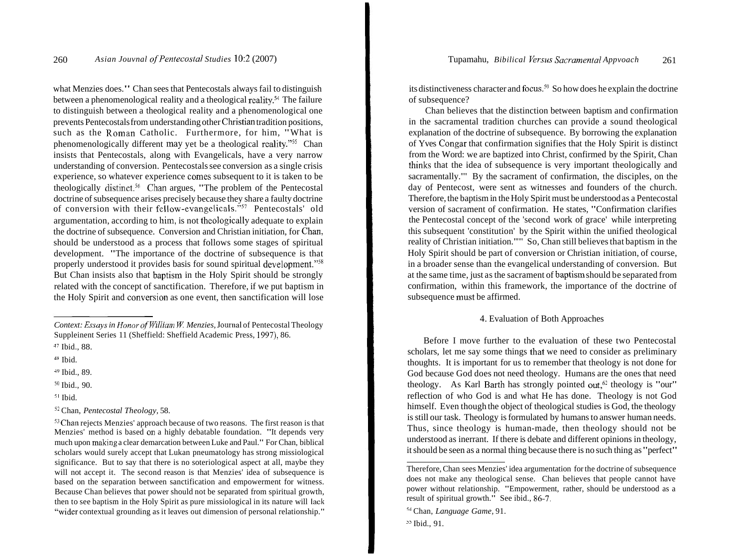what Menzies does." Chan sees that Pentecostals always fail to distinguish between a phenomenological reality and a theological reality.<sup>54</sup> The failure to distinguish between a theological reality and a phenomenological one prevents Pentecostals from understanding other Christian tradition positions, such as the Roman Catholic. Furthermore, for him, "What is phenomenologically different may yet be a theological reality."55 Chan insists that Pentecostals, along with Evangelicals, have a very narrow understanding of conversion. Pentecostals see conversion as a single crisis experience, so whatever experience comes subsequent to it is taken to be theologically distinct.<sup>56</sup> Chan argues, "The problem of the Pentecostal doctrine of subsequence arises precisely because they share a faulty doctrine of conversion with their fcllow-evangelicals." $57$  Pentecostals' old argumentation, according to him, is not theologically adequate to explain the doctrine of subsequence. Conversion and Christian initiation, for Chan, should be understood as a process that follows some stages of spiritual development. "The importance of the doctrine of subsequence is that properly understood it provides basis for sound spiritual development."<sup>58</sup> But Chan insists also that baptism in the Holy Spirit should be strongly related with the concept of sanctification. Therefore, if we put baptism in the Holy Spirit and conversion as one event, then sanctification will lose

**<sup>53</sup>**Chan rejects Menzies' approach because of two reasons. The first reason is that Menzies' method is based on a highly debatable foundation. "It depends very much upon making a clear demarcation between Luke and Paul." For Chan, biblical scholars would surely accept that Lukan pneumatology has strong missiological significance. But to say that there is no soteriological aspect at all, maybe they will not accept it. The second reason is that Menzies' idea of subsequence is based on the separation between sanctification and empowerment for witness. Because Chan believes that power should not be separated from spiritual growth, then to see baptism in the Holy Spirit as pure missiological in its nature will lack "wider contextual grounding as it leaves out dimension of personal relationship."

its distinctiveness character and focus.<sup>59</sup> So how does he explain the doctrine of subsequence?

Chan believes that the distinction between baptism and confirmation in the sacramental tradition churches can provide a sound theological explanation of the doctrine of subsequence. By borrowing the explanation of Yves Congar that confirmation signifies that the Holy Spirit is distinct from the Word: we are baptized into Christ, confirmed by the Spirit, Chan thinks that the idea of subsequence is very important theologically and sacramentally."" By the sacrament of confirmation, the disciples, on the day of Pentecost, were sent as witnesses and founders of the church. Therefore, the baptism in the Holy Spirit must be understood as a Pentecostal version of sacrament of confirmation. He states, "Confirmation clarifies the Pentecostal concept of the 'second work of grace' while interpreting this subsequent 'constitution' by the Spirit within the unified theological reality of Christian initiation.""' So, Chan still believes that baptism in the Holy Spirit should be part of conversion or Christian initiation, of course, in a broader sense than the evangelical understanding of conversion. But at the same time, just as the sacrament of baptisin should be separated from confirmation, within this framework, the importance of the doctrine of subsequence must be affirmed.

#### 4. Evaluation of Both Approaches

Before I move further to the evaluation of these two Pentecostal scholars, let me say some things that we need to consider as preliminary thoughts. It is important for us to remember that theology is not done for God because God does not need theology. Humans are the ones that need theology. As Karl Barth has strongly pointed out, $62$  theology is "our" reflection of who God is and what He has done. Theology is not God himself. Even though the object of theological studies is God, the theology is still our task. Theology is formulated by humans to answer human needs. Thus, since theology is human-made, then theology should not be understood as inerrant. If there is debate and different opinions in theology, it should be seen as a normal thing because there is no such thing as "perfect"

*Context: Essays in Honor of William W. Menzies, Journal of Pentecostal Theology* Suppleinent Series 11 (Sheffield: Sheffield Academic Press, 1997), 86.

<sup>&</sup>lt;sup>47</sup> Ibid., 88.

**<sup>4</sup>X** Ibid.

<sup>4&</sup>quot; Ibid., 89.

 $50$  Ibid., 90.

**<sup>51</sup>**Ibid.

*<sup>52</sup>*Chan, *Pentecostal Theology,* 58.

Therefore, Chan sees Menzies' idea argumentation for the doctrine of subsequence does not make any theological sense. Chan believes that people cannot have power without relationship. "Empowerment, rather, should be understood as a result of spiritual growth." See ibid., 86-7.

**<sup>54</sup>** Chan, *Language Game,* 9 1.

<sup>&</sup>lt;sup>25</sup> Ibid., 91.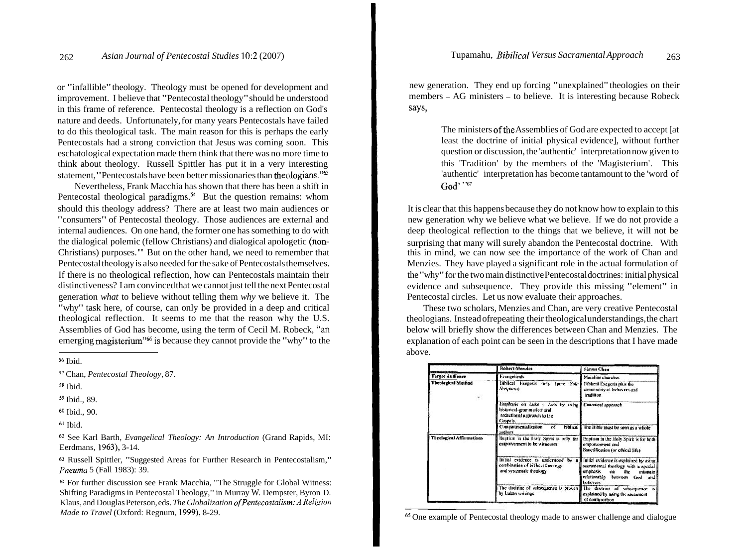or "infallible" theology. Theology must be opened for development and improvement. I believe that "Pentecostal theology" should be understood in this frame of reference. Pentecostal theology is a reflection on God's nature and deeds. Unfortunately, for many years Pentecostals have failed to do this theological task. The main reason for this is perhaps the early Pentecostals had a strong conviction that Jesus was coming soon. This eschatological expectation made them think that there was no more time to think about theology. Russell Spittler has put it in a very interesting statement, "Pentecostals have been better missionaries than theologians." $63$ 

Nevertheless, Frank Macchia has shown that there has been a shift in Pentecostal theological paradigms.<sup>64</sup> But the question remains: whom should this theology address? There are at least two main audiences or "consumers" of Pentecostal theology. Those audiences are external and internal audiences. On one hand, the former one has something to do with the dialogical polemic (fellow Christians) and dialogical apologetic (non-Christians) purposes." But on the other hand, we need to remember that Pentecostal theology is also needed for the sake of Pentecostals themselves. If there is no theological reflection, how can Pentecostals maintain their distinctiveness? I am convinced that we cannot just tell the next Pentecostal generation *what* to believe without telling them *why* we believe it. The "why" task here, of course, can only be provided in a deep and critical theological reflection. It seems to me that the reason why the U.S. Assemblies of God has become, using the term of Cecil M. Robeck, "an emerging magisterium<sup>"66</sup> is because they cannot provide the "why" to the

**<sup>56</sup>**Ibid.

**5R** Ibid.

**<sup>59</sup>**Ibid., 89.

**<sup>60</sup>**Ibid., 90.

**<sup>61</sup>**Ibid.

**<sup>62</sup>**See Karl Barth, *Evangelical Theology: An Introduction* (Grand Rapids, MI: Eerdmans, 1963), 3-14.

**<sup>63</sup>**Russell Spittler, "Suggested Areas for Further Research in Pentecostalism," *Pneuma* 5 (Fall 1983): 39.

**<sup>64</sup>**For further discussion see Frank Macchia, "The Struggle for Global Witness: Shifting Paradigms in Pentecostal Theology," in Murray W. Dempster, Byron D. Klaus, and Douglas Peterson, eds. *The Globalization of Pentecostalism: A Religion Made to Travel* (Oxford: Regnum, 1999), 8-29.

new generation. They end up forcing "unexplained" theologies on their members - AG ministers - to believe. It is interesting because Robeck says,

> The ministers of the Assemblies of God are expected to accept [at least the doctrine of initial physical evidence], without further question or discussion, the 'authentic' interpretation now given to this 'Tradition' by the members of the 'Magisterium'. This 'authentic' interpretation has become tantamount to the 'word of God' "67

It is clear that this happens because they do not know how to explain to this new generation why we believe what we believe. If we do not provide a deep theological reflection to the things that we believe, it will not be surprising that many will surely abandon the Pentecostal doctrine. With this in mind, we can now see the importance of the work of Chan and Menzies. They have played a significant role in the actual formulation of the "why" for the two main distinctive Pentecostal doctrines: initial physical evidence and subsequence. They provide this missing "element" in Pentecostal circles. Let us now evaluate their approaches.

These two scholars, Menzies and Chan, are very creative Pentecostal theologians. Instead ofrepeating their theological understandings, the chart below will briefly show the differences between Chan and Menzies. The explanation of each point can be seen in the descriptions that I have made above.

|                                 | Robert Menzies                                                                                                               | Simon Chan                                                                                                                                                        |
|---------------------------------|------------------------------------------------------------------------------------------------------------------------------|-------------------------------------------------------------------------------------------------------------------------------------------------------------------|
| <b>Target Audience</b>          | <b>Evangelicals</b>                                                                                                          | Mainline churches                                                                                                                                                 |
| <b>Theological Method</b>       | Biblical Exegesis only tpure Sola<br>Scriptures)                                                                             | Biblical Exegesis plus the<br>community of helievers and<br>tradition                                                                                             |
|                                 | Emphasis on Luke - Acts by using Canonical approach<br>historical-grammatical and<br>redactional approach to the<br>Gospels. |                                                                                                                                                                   |
|                                 | biblical <b>I</b><br>Compartmentalization<br>of<br>authors                                                                   | The Bible must be seen as a whole                                                                                                                                 |
| <b>Theological Affirmutions</b> | Buptism in the Holy Spirit is only for<br>empowerment to be winnesses                                                        | Baptism in the Holy Spirit is for both<br>empowerment and<br>Sanctification (or ethical life)                                                                     |
|                                 | Initial evidence is understood by a<br>combination of biblical theology<br>and systematic theology                           | Initial evidence is explained by using<br>sacramental theology with a special<br>emphasis<br>the<br>intimate<br>on.<br>relationship between God and<br>believers. |
|                                 | The doctrine of subsequence is proven<br>by Lukan writings                                                                   | The doctrine of subsequence is<br>explained by using the sacrament<br>of confirmation                                                                             |

**65** One example of Pentecostal theology made to answer challenge and dialogue

**<sup>57</sup>**Chan, *Pentecostal Theology,* 87.